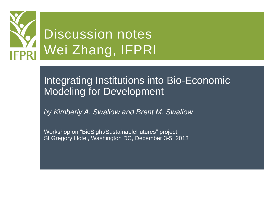

## Integrating Institutions into Bio-Economic Modeling for Development

*by Kimberly A. Swallow and Brent M. Swallow*

Workshop on "BioSight/SustainableFutures" project St Gregory Hotel, Washington DC, December 3-5, 2013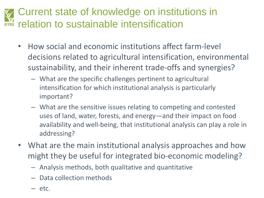## Current state of knowledge on institutions in relation to sustainable intensification

- How social and economic institutions affect farm-level decisions related to agricultural intensification, environmental sustainability, and their inherent trade-offs and synergies?
	- What are the specific challenges pertinent to agricultural intensification for which institutional analysis is particularly important?
	- What are the sensitive issues relating to competing and contested uses of land, water, forests, and energy—and their impact on food availability and well-being, that institutional analysis can play a role in addressing?
- What are the main institutional analysis approaches and how might they be useful for integrated bio-economic modeling?
	- Analysis methods, both qualitative and quantitative
	- Data collection methods
	- $-$  etc.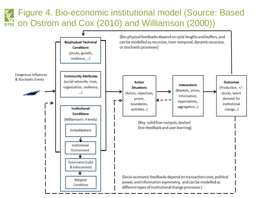## Figure 4. Bio-economic institutional model (Source: Based on Ostrom and Cox (2010) and Williamson (2000))

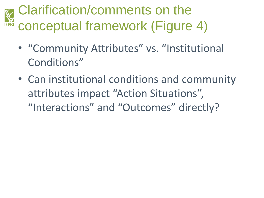## Clarification/comments on the conceptual framework (Figure 4) **IFPRI**

- "Community Attributes" vs. "Institutional Conditions"
- Can institutional conditions and community attributes impact "Action Situations", "Interactions" and "Outcomes" directly?